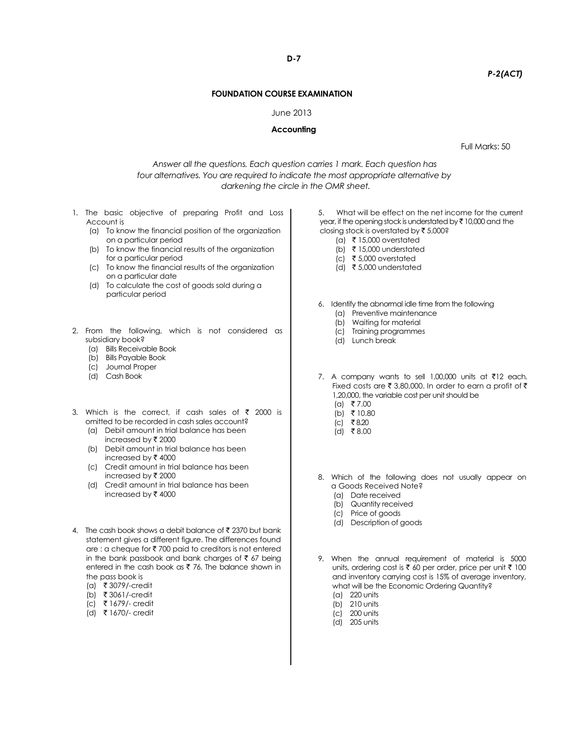**D-7**

# *P-2(ACT)*

## **FOUNDATION COURSE EXAMINATION**

### June 2013

### **Accounting**

Full Marks: 50

*Answer all the questions. Each question carries 1 mark. Each question has four alternatives. You are required to indicate the most appropriate alternative by darkening the circle in the OMR sheet.*

- 1. The basic objective of preparing Profit and Loss Account is
	- (a) To know the financial position of the organization on a particular period
	- (b) To know the financial results of the organization for a particular period
	- (c) To know the financial results of the organization on a particular date
	- (d) To calculate the cost of goods sold during a particular period
- 2. From the following, which is not considered as subsidiary book?
	- (a) Bills Receivable Book
	- (b) Bills Payable Book
	- (c) Journal Proper
	- (d) Cash Book
- 3. Which is the correct, if cash sales of  $\bar{\tau}$  2000 is omitted to be recorded in cash sales account?
	- (a) Debit amount in trial balance has been increased by  $\bar{\tau}$  2000
	- (b) Debit amount in trial balance has been increased by  $\bar{\tau}$  4000
	- (c) Credit amount in trial balance has been increased by  $\bar{\tau}$  2000
	- (d) Credit amount in trial balance has been increased by  $\bar{\tau}$  4000
- 4. The cash book shows a debit balance of  $\bar{\bar{\xi}}$  2370 but bank statement gives a different figure. The differences found are : a cheque for  $\bar{\tau}$  700 paid to creditors is not entered in the bank passbook and bank charges of  $\bar{\tau}$  67 being entered in the cash book as  $\bar{\tau}$  76. The balance shown in the pass book is
	- (a) ` 3079/-credit
	- (b) ` 3061/-credit
	- (c) ` 1679/- credit
	- $(d)$  ₹ 1670/- credit

5. What will be effect on the net income for the current year, if the opening stock is understated by  $\bar{\tau}$  10,000 and the closing stock is overstated by  $\bar{\tau}$  5,000?

- (a) ₹ 15,000 overstated
- (b)  $\bar{\tau}$  15,000 understated
- (c) ₹ 5,000 overstated
- (d) ₹5,000 understated
- 6. Identify the abnormal idle time from the following
	- (a) Preventive maintenance
	- (b) Waiting for material
	- (c) Training programmes
	- (d) Lunch break
- 7. A company wants to sell 1,00,000 units at  $\bar{\tau}$ 12 each. Fixed costs are  $\bar{\tau}$  3,80,000. In order to earn a profit of  $\bar{\tau}$ 1,20,000, the variable cost per unit should be
	- $(a)$  ₹ 7.00
	- $(b)$  ₹ 10.80
	- $(c)$  ₹8.20
	- (d) ₹8.00
- 8. Which of the following does not usually appear on a Goods Received Note?
	- (a) Date received
	- (b) Quantity received
	- (c) Price of goods
	- (d) Description of goods
- 9. When the annual requirement of material is 5000 units, ordering cost is  $\bar{\tau}$  60 per order, price per unit  $\bar{\tau}$  100 and inventory carrying cost is 15% of average inventory, what will be the Economic Ordering Quantity?
	- (a) 220 units
	- (b) 210 units
	- (c) 200 units
	- (d) 205 units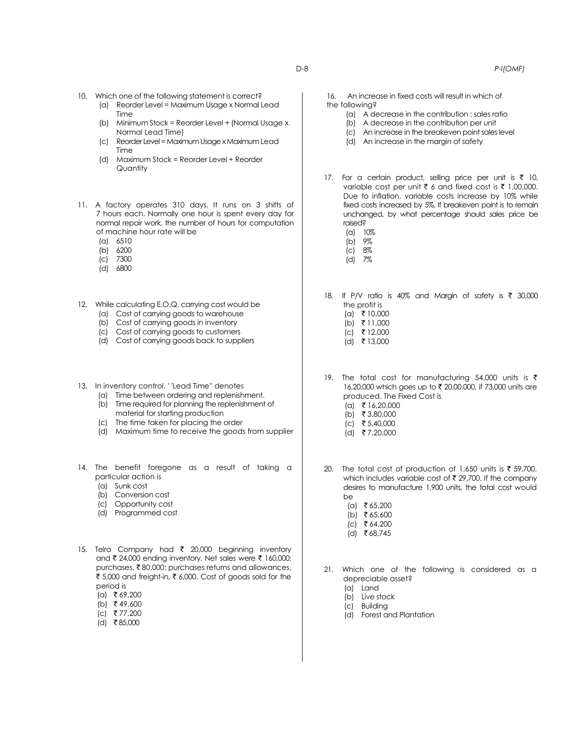- 10. Which one of the following statement is correct?
	- (a) Reorder Level = Maximum Usage x Normal Lead Time
	- (b) Minimum Stock = Reorder Level + (Normal Usage x Normal Lead Time)
	- (c) Reorder Level = Maximum Usage x Maximum Lead Time
	- (d) Maximum Stock = Reorder Level + Reorder **Quantity**
- 11. A factory operates 310 days. It runs on 3 shifts of 7 hours each. Normally one hour is spent every day for normal repair work, the number of hours for computation of machine hour rate will be
	- (a) 6510
	- (b) 6200
	- (c) 7300
	- (d) 6800
- 12. While calculating E.O.Q, carrying cost would be (a) Cost of carrying goods to warehouse
	- (b) Cost of carrying goods in inventory
	- (c) Cost of carrying goods to customers
	- (d) Cost of carrying goods back to suppliers
- 13. In inventory control, ' 'Lead Time'' denotes
	- (a) Time between ordering and replenishment.
	- (b) Time required for planning the replenishment of material for starting production
	- (c) The time taken for placing the order
	- (d) Maximum time to receive the goods from supplier
- 14. The benefit foregone as a result of taking a particular action is
	- (a) Sunk cost
	- (b) Conversion cost
	- (c) Opportunity cost
	- (d) Programmed cost
- 15. Telra Company had  $\bar{\tau}$  20,000 beginning inventory and  $\bar{\tau}$  24,000 ending inventory. Net sales were  $\bar{\tau}$  160,000; purchases, ₹80,000; purchases returns and allowances, ₹ 5,000 and freight-in, ₹ 6,000. Cost of goods sold for the period is
	- $(a)$  ₹ 69,200
	- $(b)$  ₹49,600
	- $(c)$  ₹77,200
	- $(d)$  ₹85,000
- 16. An increase in fixed costs will result in which of the following?
	- (a) A decrease in the contribution : sales ratio
	- (b) A decrease in the contribution per unit
	- (c) An increase in the breakeven point sales level
	- (d) An increase in the margin of safety
- 17. For a certain product, selling price per unit is  $\bar{\tau}$  10, variable cost per unit  $\bar{\tau}$  6 and fixed cost is  $\bar{\tau}$  1,00,000. Due to inflation, variable costs increase by 10% while fixed costs increased by 5%. If breakeven point is to remain unchanged, by what percentage should sales price be raised?
	- (a) 10%
	- (b) 9%
	- (c) 8% (d) 7%
	-
- 18. If P/V ratio is 40% and Margin of safety is  $\bar{\tau}$  30,000 the profit is
	- $(a)$  ₹ 10,000
	- (b)  $\bar{z}$  11,000
	- $(c)$  ₹ 12,000
	- $(d)$  ₹ 13,000
- 19. The total cost for manufacturing 54,000 units is  $\bar{\tau}$ 16,20,000 which goes up to ₹ 20,00,000, if 73,000 units are produced. The Fixed Cost is  $(a)$  ₹ 16,20,000
	- (b) ₹ 3,80,000
	- $(c)$  ₹ 5,40,000
	- (d) ` 7,20,000
	-
- 20. The total cost of production of 1,650 units is  $\bar{\tau}$  59,700, which includes variable cost of  $\bar{\tau}$  29,700. If the company desires to manufacture 1,900 units, the total cost would be
	- $(a) \quad \overline{5} 65,200$
	- (b) ₹ 65,600
	- $|c|$  ₹ 64,200
	- $(d)$  ₹ 68,745

21. Which one of the following is considered as a depreciable asset?

- (a) Land
- (b) Live stock
- (c) Building
- (d) Forest and Plantation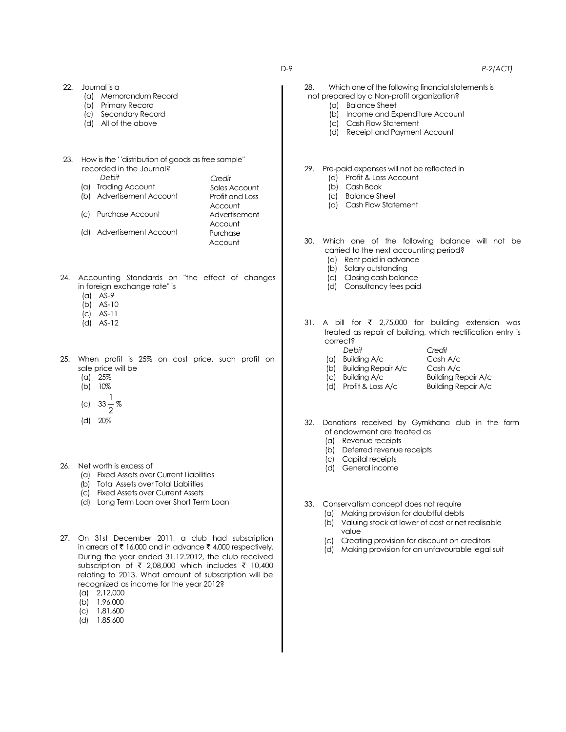#### D-9 *P-2(ACT)*

22. Journal is a (a) Memorandum Record (b) Primary Record (c) Secondary Record (d) All of the above 23. How is the ' 'distribution of goods as free sample'' recorded in the Journal? *Debit* (a) Trading Account (b) Advertisement Account (c) Purchase Account (d) Advertisement Account 24. Accounting Standards on "the effect of changes in foreign exchange rate" is (a) AS-9 (b) AS-10 (c) AS-11 (d) AS-12 25. When profit is 25% on cost price, such profit on sale price will be (a) 25% (b) 10% (c)  $33 \overline{2}$ % (d) 20% 26. Net worth is excess of 28. Which one of the following financial statements is not prepared by a Non-profit organization? (a) Balance Sheet (b) Income and Expenditure Account (c) Cash Flow Statement (d) Receipt and Payment Account 29. Pre-paid expenses will not be reflected in (a) Profit & Loss Account (b) Cash Book (c) Balance Sheet (d) Cash Flow Statement carried to the next accounting period? (a) Rent paid in advance (b) Salary outstanding (c) Closing cash balance (d) Consultancy fees paid 31. A bill for  $\overline{\zeta}$  2,75,000 for building extension was correct? *Debit Credit* (a) Building A/c Cash A/c (b) Building Repair A/c Cash A/c (c) Building A/c Building Repair A/c Building Repair A/c 32. Donations received by Gymkhana club in the form of endowment are treated as (a) Revenue receipts (b) Deferred revenue receipts (c) Capital receipts *Credit* Sales Account Profit and Loss **Account** Advertisement **Account** Purchase **Account** 

- (a) Fixed Assets over Current Liabilities
- (b) Total Assets over Total Liabilities
- (c) Fixed Assets over Current Assets
- (d) Long Term Loan over Short Term Loan

27. On 31st December 2011, a club had subscription in arrears of  $\bar{\tau}$  16,000 and in advance  $\bar{\tau}$  4,000 respectively. During the year ended 31.12.2012, the club received subscription of  $\bar{\tau}$  2,08,000 which includes  $\bar{\tau}$  10,400 relating to 2013. What amount of subscription will be recognized as income for the year 2012?

- (a) 2,12,000
- (b) 1,96,000
- (c) 1,81,600
- (d) 1,85,600

30. Which one of the following balance will not be

treated as repair of building, which rectification entry is

- - (d) General income
- 33. Conservatism concept does not require
	- (a) Making provision for doubtful debts
		- (b) Valuing stock at lower of cost or net realisable value
		- (c) Creating provision for discount on creditors
		- (d) Making provision for an unfavourable legal suit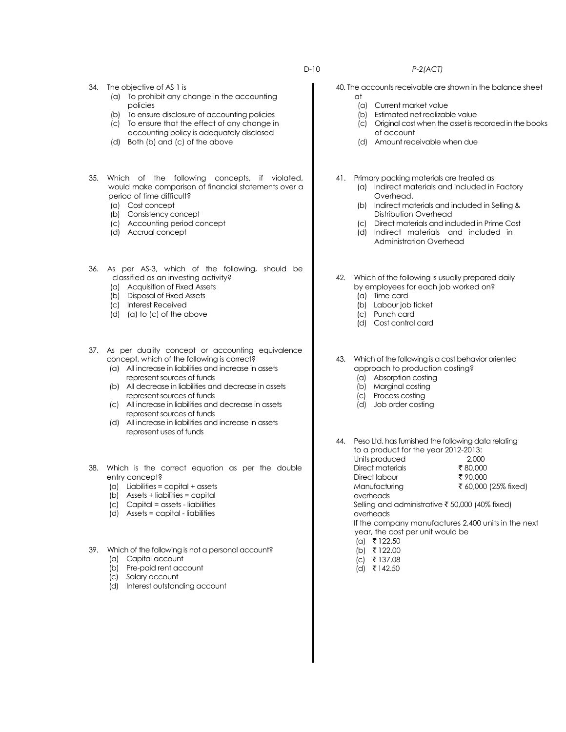### 34. The objective of AS 1 is

- (a) To prohibit any change in the accounting policies
- (b) To ensure disclosure of accounting policies
- (c) To ensure that the effect of any change in accounting policy is adequately disclosed
- (d) Both (b) and (c) of the above
- 35. Which of the following concepts, if violated, would make comparison of financial statements over a period of time difficult?
	- (a) Cost concept
	- (b) Consistency concept
	- (c) Accounting period concept
	- (d) Accrual concept
- 36. As per AS-3, which of the following, should be classified as an investing activity?
	- (a) Acquisition of Fixed Assets
	- (b) Disposal of Fixed Assets
	- (c) Interest Received
	- (d) (a) to (c) of the above
- 37. As per duality concept or accounting equivalence concept, which of the following is correct?
	- (a) All increase in liabilities and increase in assets represent sources of funds
	- (b) All decrease in liabilities and decrease in assets represent sources of funds
	- (c) All increase in liabilities and decrease in assets represent sources of funds
	- (d) All increase in liabilities and increase in assets represent uses of funds
- 38. Which is the correct equation as per the double entry concept?
	- (a) Liabilities = capital + assets
	- (b) Assets + liabilities = capital
	- (c) Capital = assets liabilities
	- (d) Assets = capital liabilities
- 39. Which of the following is not a personal account? (a) Capital account
	- (b) Pre-paid rent account
	- (c) Salary account
	- (d) Interest outstanding account
- 40. The accounts receivable are shown in the balance sheet
	- at (a) Current market value
	- (b) Estimated net realizable value
	- (c) Original cost when the asset is recorded in the books of account
	- (d) Amount receivable when due
	- 41. Primary packing materials are treated as
		- (a) Indirect materials and included in Factory Overhead.
		- (b) Indirect materials and included in Selling & Distribution Overhead
		- (c) Direct materials and included in Prime Cost
		- (d) Indirect materials and included in Administration Overhead
	- 42. Which of the following is usually prepared daily by employees for each job worked on?
		- (a) Time card
		- (b) Labour job ticket
		- (c) Punch card
		- (d) Cost control card
	- 43. Which of the following is a cost behavior oriented approach to production costing?
		- (a) Absorption costing
		- (b) Marginal costing
		- (c) Process costing
		- (d) Job order costing

44. Peso Ltd. has furnished the following data relating to a product for the year 2012-2013:

- Units produced 2,000<br>Direct materials ₹80,000 Direct materials  $\frac{1}{3}$  80,000<br>Direct labour  $\frac{1}{3}$  90,000 Direct labour overheads
	-

Manufacturing  $\bar{\bar{\xi}}$  60,000 (25% fixed)

Selling and administrative  $\bar{\tau}$  50,000 (40% fixed) overheads

If the company manufactures 2,400 units in the next year, the cost per unit would be

- $(a)$  ₹ 122.50
- (b) ₹ 122.00
- $|c|$  ₹ 137.08
- $(d)$  ₹ 142.50

D-10 *P-2(ACT)*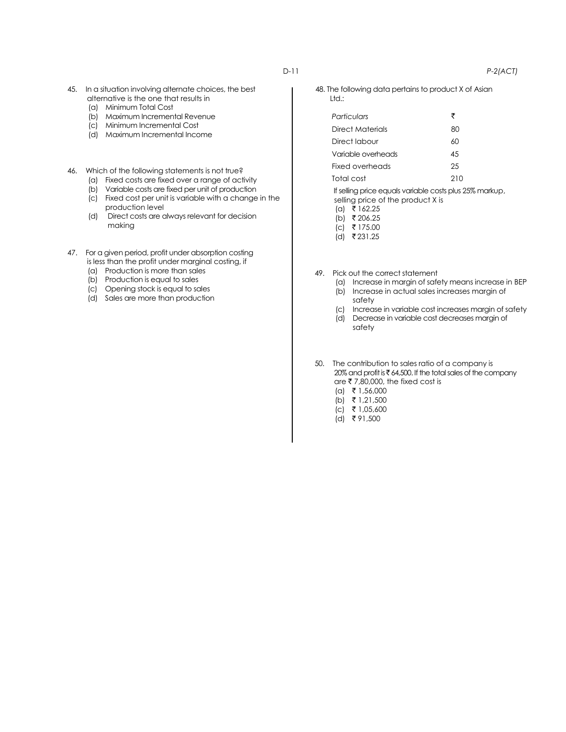- 45. In a situation involving alternate choices, the best alternative is the one that results in
	- (a) Minimum Total Cost
	- (b) Maximum Incremental Revenue
	- (c) Minimum Incremental Cost
	- (d) Maximum Incremental Income
- 46. Which of the following statements is not true?
	- (a) Fixed costs are fixed over a range of activity
	- (b) Variable costs are fixed per unit of production
	- (c) Fixed cost per unit is variable with a change in the production level
	- (d) Direct costs are always relevant for decision making
- 47. For a given period, profit under absorption costing is less than the profit under marginal costing, if
	- (a) Production is more than sales
	- (b) Production is equal to sales
	- (c) Opening stock is equal to sales
	- (d) Sales are more than production

48. The following data pertains to product X of Asian Ltd.:

| Particulars        | ₹   |
|--------------------|-----|
| Direct Materials   | 80  |
| Direct Iabour      | 60  |
| Variable overheads | 45  |
| Fixed overheads    | 25  |
| Total cost         | 210 |

If selling price equals variable costs plus 25% markup, selling price of the product X is

 $(a)$  ₹ 162.25

 $(b)$  ₹ 206.25

 $(c)$  ₹ 175.00

 $(d)$  ₹ 231.25

- 49. Pick out the correct statement
	- (a) Increase in margin of safety means increase in BEP (b) Increase in actual sales increases margin of safety
	- (c) Increase in variable cost increases margin of safety
	- (d) Decrease in variable cost decreases margin of safety
- 50. The contribution to sales ratio of a company is  $20\%$  and profit is  $\bar{\tau}$  64,500. If the total sales of the company are  $\bar{\tau}$  7,80,000, the fixed cost is
	- $(a) \t{ } 1,56,000$
	- $(b)$  ₹ 1,21,500
	- $(c)$  ₹ 1,05,600
	- $(d)$  ₹91,500